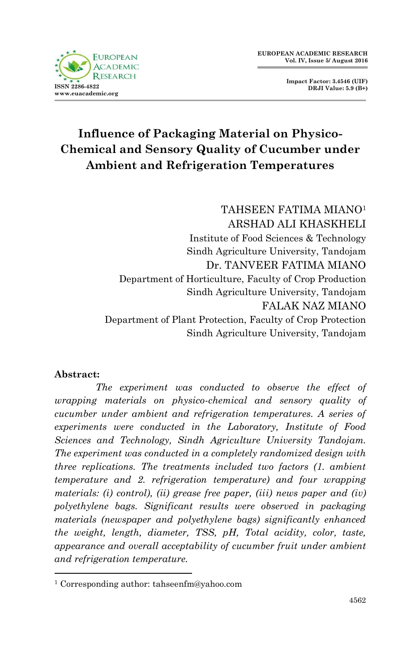

**Impact Factor: 3.4546 (UIF) DRJI Value: 5.9 (B+)**

# **Influence of Packaging Material on Physico-Chemical and Sensory Quality of Cucumber under Ambient and Refrigeration Temperatures**

TAHSEEN FATIMA MIANO<sup>1</sup> ARSHAD ALI KHASKHELI Institute of Food Sciences & Technology Sindh Agriculture University, Tandojam Dr. TANVEER FATIMA MIANO Department of Horticulture, Faculty of Crop Production Sindh Agriculture University, Tandojam FALAK NAZ MIANO Department of Plant Protection, Faculty of Crop Protection Sindh Agriculture University, Tandojam

#### **Abstract:**

1

 *The experiment was conducted to observe the effect of wrapping materials on physico-chemical and sensory quality of cucumber under ambient and refrigeration temperatures. A series of experiments were conducted in the Laboratory, Institute of Food Sciences and Technology, Sindh Agriculture University Tandojam. The experiment was conducted in a completely randomized design with three replications. The treatments included two factors (1. ambient temperature and 2. refrigeration temperature) and four wrapping materials: (i) control), (ii) grease free paper, (iii) news paper and (iv) polyethylene bags. Significant results were observed in packaging materials (newspaper and polyethylene bags) significantly enhanced the weight, length, diameter, TSS, pH, Total acidity, color, taste, appearance and overall acceptability of cucumber fruit under ambient and refrigeration temperature.* 

<sup>1</sup> Corresponding author: tahseenfm@yahoo.com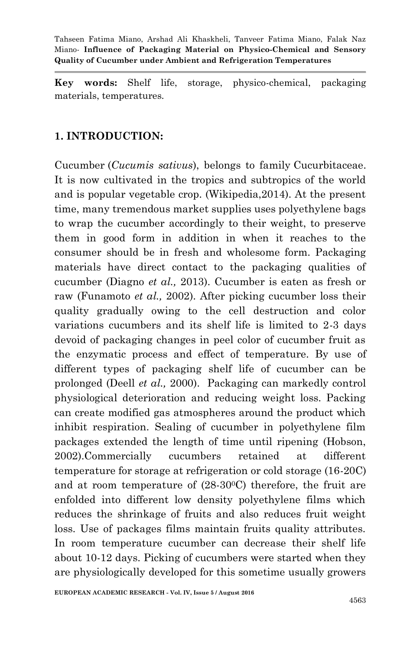**Key words:** Shelf life, storage, physico-chemical, packaging materials, temperatures*.*

## **1. INTRODUCTION:**

Cucumber (*Cucumis sativus*), belongs to family Cucurbitaceae. It is now cultivated in the tropics and subtropics of the world and is popular vegetable crop. (Wikipedia,2014). At the present time, many tremendous market supplies uses polyethylene bags to wrap the cucumber accordingly to their weight, to preserve them in good form in addition in when it reaches to the consumer should be in fresh and wholesome form. Packaging materials have direct contact to the packaging qualities of cucumber (Diagno *et al.,* 2013). Cucumber is eaten as fresh or raw (Funamoto *et al.,* 2002). After picking cucumber loss their quality gradually owing to the cell destruction and color variations cucumbers and its shelf life is limited to 2-3 days devoid of packaging changes in peel color of cucumber fruit as the enzymatic process and effect of temperature. By use of different types of packaging shelf life of cucumber can be prolonged (Deell *et al.,* 2000). Packaging can markedly control physiological deterioration and reducing weight loss. Packing can create modified gas atmospheres around the product which inhibit respiration. Sealing of cucumber in polyethylene film packages extended the length of time until ripening (Hobson, 2002).Commercially cucumbers retained at different temperature for storage at refrigeration or cold storage (16-20C) and at room temperature of  $(28-30^{\circ}C)$  therefore, the fruit are enfolded into different low density polyethylene films which reduces the shrinkage of fruits and also reduces fruit weight loss. Use of packages films maintain fruits quality attributes. In room temperature cucumber can decrease their shelf life about 10-12 days. Picking of cucumbers were started when they are physiologically developed for this sometime usually growers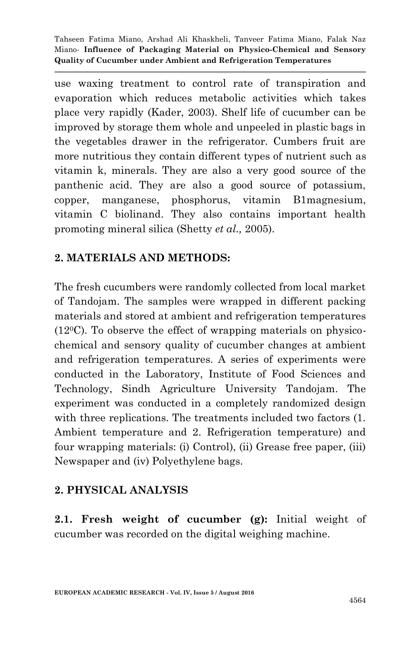use waxing treatment to control rate of transpiration and evaporation which reduces metabolic activities which takes place very rapidly (Kader, 2003). Shelf life of cucumber can be improved by storage them whole and unpeeled in plastic bags in the vegetables drawer in the refrigerator. Cumbers fruit are more nutritious they contain different types of nutrient such as vitamin k, minerals. They are also a very good source of the panthenic acid. They are also a good source of potassium, copper, manganese, phosphorus, vitamin B1magnesium, vitamin C biolinand. They also contains important health promoting mineral silica (Shetty *et al.,* 2005).

# **2. MATERIALS AND METHODS:**

The fresh cucumbers were randomly collected from local market of Tandojam. The samples were wrapped in different packing materials and stored at ambient and refrigeration temperatures  $(12^{\circ}C)$ . To observe the effect of wrapping materials on physicochemical and sensory quality of cucumber changes at ambient and refrigeration temperatures. A series of experiments were conducted in the Laboratory, Institute of Food Sciences and Technology, Sindh Agriculture University Tandojam. The experiment was conducted in a completely randomized design with three replications. The treatments included two factors (1. Ambient temperature and 2. Refrigeration temperature) and four wrapping materials: (i) Control), (ii) Grease free paper, (iii) Newspaper and (iv) Polyethylene bags.

# **2. PHYSICAL ANALYSIS**

**2.1. Fresh weight of cucumber (g):** Initial weight of cucumber was recorded on the digital weighing machine.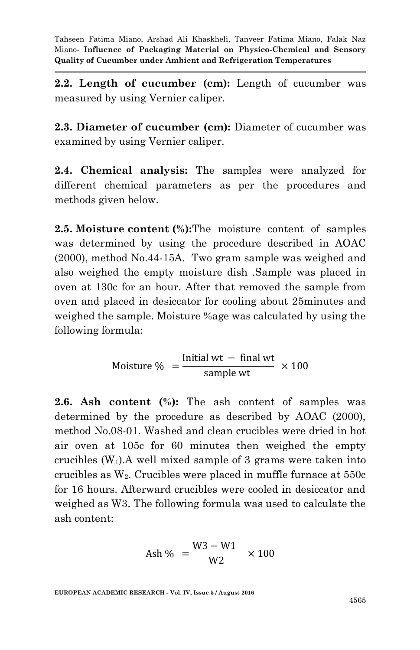**2.2. Length of cucumber (cm):** Length of cucumber was measured by using Vernier caliper.

**2.3. Diameter of cucumber (cm):** Diameter of cucumber was examined by using Vernier caliper.

**2.4. Chemical analysis:** The samples were analyzed for different chemical parameters as per the procedures and methods given below.

**2.5. Moisture content (%):**The moisture content of samples was determined by using the procedure described in AOAC (2000), method No.44-15A. Two gram sample was weighed and also weighed the empty moisture dish .Sample was placed in oven at 130c for an hour. After that removed the sample from oven and placed in desiccator for cooling about 25minutes and weighed the sample. Moisture %age was calculated by using the following formula:

> M  $\mathbf I$ sample wt  $\times$

**2.6. Ash content (%):** The ash content of samples was determined by the procedure as described by AOAC (2000), method No.08-01. Washed and clean crucibles were dried in hot air oven at 105c for 60 minutes then weighed the empty crucibles  $(W_1)$ . A well mixed sample of 3 grams were taken into crucibles as  $W_2$ . Crucibles were placed in muffle furnace at  $550c$ for 16 hours. Afterward crucibles were cooled in desiccator and weighed as W3. The following formula was used to calculate the ash content:

$$
\mathrm{Ash} \ \% \ = \frac{\mathrm{W3-W1}}{\mathrm{W2}} \ \times 100
$$

**EUROPEAN ACADEMIC RESEARCH - Vol. IV, Issue 5 / August 2016**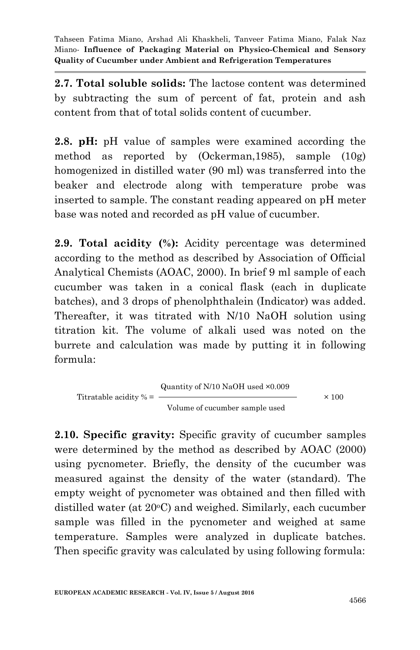**2.7. Total soluble solids:** The lactose content was determined by subtracting the sum of percent of fat, protein and ash content from that of total solids content of cucumber.

**2.8. pH:** pH value of samples were examined according the method as reported by (Ockerman,1985), sample (10g) homogenized in distilled water (90 ml) was transferred into the beaker and electrode along with temperature probe was inserted to sample. The constant reading appeared on pH meter base was noted and recorded as pH value of cucumber.

**2.9. Total acidity (%):** Acidity percentage was determined according to the method as described by Association of Official Analytical Chemists (AOAC, 2000). In brief 9 ml sample of each cucumber was taken in a conical flask (each in duplicate batches), and 3 drops of phenolphthalein (Indicator) was added. Thereafter, it was titrated with N/10 NaOH solution using titration kit. The volume of alkali used was noted on the burrete and calculation was made by putting it in following formula:

$$
Titratable acidity % = \frac{Quantity of N/10 NaOH used ×0.009}{Volume of cucumber sample used} ×100
$$

**2.10. Specific gravity:** Specific gravity of cucumber samples were determined by the method as described by AOAC (2000) using pycnometer. Briefly, the density of the cucumber was measured against the density of the water (standard). The empty weight of pycnometer was obtained and then filled with distilled water (at 20<sup>o</sup>C) and weighed. Similarly, each cucumber sample was filled in the pycnometer and weighed at same temperature. Samples were analyzed in duplicate batches. Then specific gravity was calculated by using following formula: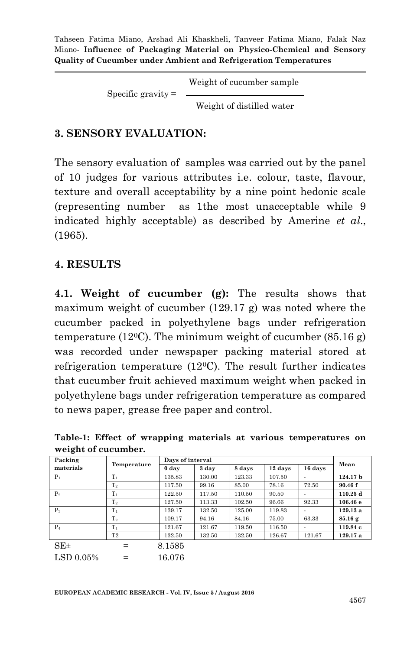Weight of cucumber sample

Specific gravity  $=$   $-$ 

Weight of distilled water

#### **3. SENSORY EVALUATION:**

The sensory evaluation of samples was carried out by the panel of 10 judges for various attributes i.e. colour, taste, flavour, texture and overall acceptability by a nine point hedonic scale (representing number as 1the most unacceptable while 9 indicated highly acceptable) as described by Amerine *et al*., (1965).

#### **4. RESULTS**

**4.1. Weight of cucumber (g):** The results shows that maximum weight of cucumber (129.17 g) was noted where the cucumber packed in polyethylene bags under refrigeration temperature (12<sup>o</sup>C). The minimum weight of cucumber (85.16 g) was recorded under newspaper packing material stored at refrigeration temperature  $(12^{\circ}C)$ . The result further indicates that cucumber fruit achieved maximum weight when packed in polyethylene bags under refrigeration temperature as compared to news paper, grease free paper and control.

| weight of cucumber. |             |        |                  |        |         |         |            |  |  |
|---------------------|-------------|--------|------------------|--------|---------|---------|------------|--|--|
| Packing             |             |        | Days of interval |        |         |         |            |  |  |
| materials           | Temperature | 0 day  | 3 day            | 8 days | 12 days | 16 days | Mean       |  |  |
| $P_1$               | $T_1$       | 135.83 | 130.00           | 123.33 | 107.50  |         | 124.17 b   |  |  |
|                     | $T_{2}$     | 117.50 | 99.16            | 85.00  | 78.16   | 72.50   | 90.46 f    |  |  |
| $P_2$               | $T_1$       | 122.50 | 117.50           | 110.50 | 90.50   |         | $110.25$ d |  |  |
|                     | $T_2$       | 127.50 | 113.33           | 102.50 | 96.66   | 92.33   | 106.46e    |  |  |
| $P_3$               | $T_1$       | 139.17 | 132.50           | 125.00 | 119.83  |         | 129.13a    |  |  |
|                     | $T_{2}$     | 109.17 | 94.16            | 84.16  | 75.00   | 63.33   | 85.16g     |  |  |
| $P_4$               | $T_1$       | 121.67 | 121.67           | 119.50 | 116.50  |         | 119.84 с   |  |  |
|                     | T2          | 132.50 | 132.50           | 132.50 | 126.67  | 121.67  | 129.17 a   |  |  |
| $SE_{\pm}$          |             | 8.1585 |                  |        |         |         |            |  |  |
| LSD 0.05%           |             | 16.076 |                  |        |         |         |            |  |  |

**Table-1: Effect of wrapping materials at various temperatures on weight of cucumber.**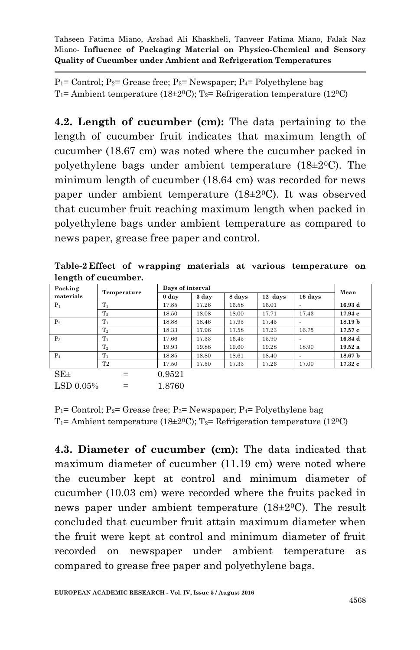$P_1$ = Control;  $P_2$ = Grease free;  $P_3$ = Newspaper;  $P_4$ = Polyethylene bag T<sub>1</sub>= Ambient temperature (18 $\pm$ 2<sup>0</sup>C); T<sub>2</sub>= Refrigeration temperature (12<sup>0</sup>C)

**4.2. Length of cucumber (cm):** The data pertaining to the length of cucumber fruit indicates that maximum length of cucumber (18.67 cm) was noted where the cucumber packed in polyethylene bags under ambient temperature (18±20C). The minimum length of cucumber (18.64 cm) was recorded for news paper under ambient temperature  $(18\pm20)$ . It was observed that cucumber fruit reaching maximum length when packed in polyethylene bags under ambient temperature as compared to news paper, grease free paper and control.

| Table-2 Effect of wrapping materials at various temperature on |  |  |  |  |
|----------------------------------------------------------------|--|--|--|--|
| length of cucumber.                                            |  |  |  |  |

| Packing        |                | Days of interval |       |        |         |         | Mean               |
|----------------|----------------|------------------|-------|--------|---------|---------|--------------------|
| materials      | Temperature    | 0 day            | 3 day | 8 days | 12 days | 16 days |                    |
| $P_1$          | $T_1$          | 17.85            | 17.26 | 16.58  | 16.01   |         | 16.93 d            |
|                | $\rm T_2$      | 18.50            | 18.08 | 18.00  | 17.71   | 17.43   | 17.94c             |
| P <sub>2</sub> | $T_1$          | 18.88            | 18.46 | 17.95  | 17.45   |         | 18.19 <sub>b</sub> |
|                | T <sub>2</sub> | 18.33            | 17.96 | 17.58  | 17.23   | 16.75   | 17.57c             |
| $P_3$          | $T_1$          | 17.66            | 17.33 | 16.45  | 15.90   |         | 16.84 d            |
|                | $\rm T_2$      | 19.93            | 19.88 | 19.60  | 19.28   | 18.90   | 19.52a             |
| $P_4$          | $T_1$          | 18.85            | 18.80 | 18.61  | 18.40   |         | 18.67 <sub>b</sub> |
|                | T2             | 17.50            | 17.50 | 17.33  | 17.26   | 17.00   | 17.32c             |
| $SE\pm$        | $=$            | 0.9521           |       |        |         |         |                    |
| LSD 0.05%      |                | 1.8760           |       |        |         |         |                    |

 $P_1$ = Control;  $P_2$ = Grease free;  $P_3$ = Newspaper;  $P_4$ = Polyethylene bag  $T_1$ = Ambient temperature (18±2<sup>o</sup>C);  $T_2$ = Refrigeration temperature (12<sup>o</sup>C)

**4.3. Diameter of cucumber (cm):** The data indicated that maximum diameter of cucumber (11.19 cm) were noted where the cucumber kept at control and minimum diameter of cucumber (10.03 cm) were recorded where the fruits packed in news paper under ambient temperature  $(18\pm20)$ . The result concluded that cucumber fruit attain maximum diameter when the fruit were kept at control and minimum diameter of fruit recorded on newspaper under ambient temperature as compared to grease free paper and polyethylene bags.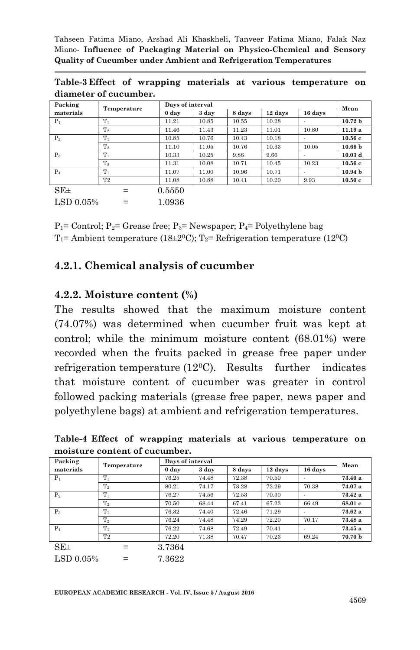| Packing               |             | Days of interval |       |        |         |                          |                    |  |
|-----------------------|-------------|------------------|-------|--------|---------|--------------------------|--------------------|--|
| materials             | Temperature | 0 day            | 3 day | 8 days | 12 days | 16 days                  | Mean               |  |
| $P_1$                 | $T_1$       | 11.21            | 10.85 | 10.55  | 10.28   |                          | 10.72 <sub>b</sub> |  |
|                       | $T_2$       | 11.46            | 11.43 | 11.23  | 11.01   | 10.80                    | 11.19a             |  |
| P <sub>2</sub>        | $T_1$       | 10.85            | 10.76 | 10.43  | 10.18   |                          | 10.56c             |  |
|                       | $T_2$       | 11.10            | 11.05 | 10.76  | 10.33   | 10.05                    | 10.66 <sub>b</sub> |  |
| $P_3$                 | $T_1$       | 10.33            | 10.25 | 9.88   | 9.66    |                          | 10.03 <sub>d</sub> |  |
|                       | $T_2$       | 11.31            | 10.08 | 10.71  | 10.45   | 10.23                    | 10.56c             |  |
| $P_4$                 | $T_1$       | 11.07            | 11.00 | 10.96  | 10.71   | $\overline{\phantom{0}}$ | 10.94 <sub>b</sub> |  |
|                       | T2          | 11.08            | 10.88 | 10.41  | 10.20   | 9.93                     | 10.50c             |  |
| $SE\pm$               |             | 0.5550           |       |        |         |                          |                    |  |
| $\mathrm{LSD}~0.05\%$ | $=$         | 1.0936           |       |        |         |                          |                    |  |

**Table-3 Effect of wrapping materials at various temperature on diameter of cucumber.**

 $P_1$ = Control;  $P_2$ = Grease free;  $P_3$ = Newspaper;  $P_4$ = Polyethylene bag  $T_1$ = Ambient temperature (18±2<sup>0</sup>C);  $T_2$ = Refrigeration temperature (12<sup>0</sup>C)

#### **4.2.1. Chemical analysis of cucumber**

#### **4.2.2. Moisture content (%)**

The results showed that the maximum moisture content (74.07%) was determined when cucumber fruit was kept at control; while the minimum moisture content (68.01%) were recorded when the fruits packed in grease free paper under refrigeration temperature (120C). Results further indicates that moisture content of cucumber was greater in control followed packing materials (grease free paper, news paper and polyethylene bags) at ambient and refrigeration temperatures.

**Table-4 Effect of wrapping materials at various temperature on moisture content of cucumber.**

| Packing        |                |        | Days of interval |        |         |                          |         |  |  |
|----------------|----------------|--------|------------------|--------|---------|--------------------------|---------|--|--|
| materials      | Temperature    | 0 day  | 3 day            | 8 days | 12 days | 16 days                  | Mean    |  |  |
| $P_1$          | $T_1$          | 76.25  | 74.48            | 72.38  | 70.50   | $\overline{\phantom{a}}$ | 73.40a  |  |  |
|                | $\rm T_2$      | 80.21  | 74.17            | 73.28  | 72.29   | 70.38                    | 74.07 a |  |  |
| P <sub>2</sub> | $T_1$          | 76.27  | 74.56            | 72.53  | 70.30   |                          | 73.42a  |  |  |
|                | $\rm T_2$      | 70.50  | 68.44            | 67.41  | 67.23   | 66.49                    | 68.01 c |  |  |
| $P_3$          | $T_1$          | 76.32  | 74.40            | 72.46  | 71.29   | $\overline{\phantom{a}}$ | 73.62a  |  |  |
|                | $\rm T_2$      | 76.24  | 74.48            | 74.29  | 72.20   | 70.17                    | 73.48a  |  |  |
| $P_4$          | $T_1$          | 76.22  | 74.68            | 72.49  | 70.41   | $\overline{\phantom{a}}$ | 73.45a  |  |  |
|                | T <sub>2</sub> | 72.20  | 71.38            | 70.47  | 70.23   | 69.24                    | 70.70 b |  |  |
| $SE\pm$        |                | 3.7364 |                  |        |         |                          |         |  |  |

 $LSD 0.05\% = 7.3622$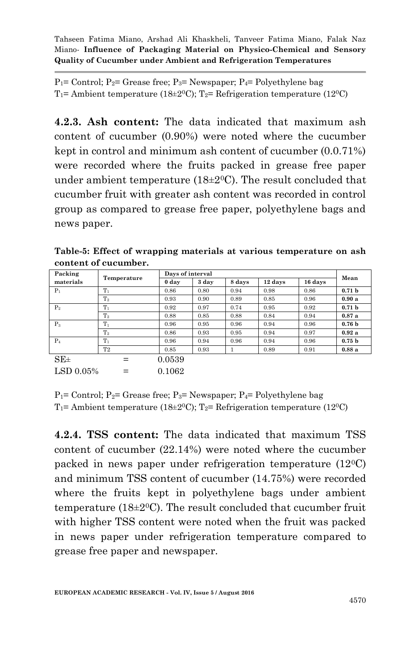$P_1$ = Control;  $P_2$ = Grease free;  $P_3$ = Newspaper;  $P_4$ = Polyethylene bag T<sub>1</sub>= Ambient temperature (18 $\pm$ 2<sup>0</sup>C); T<sub>2</sub>= Refrigeration temperature (12<sup>0</sup>C)

**4.2.3. Ash content:** The data indicated that maximum ash content of cucumber (0.90%) were noted where the cucumber kept in control and minimum ash content of cucumber (0.0.71%) were recorded where the fruits packed in grease free paper under ambient temperature (18 $\pm$ 2<sup>0</sup>C). The result concluded that cucumber fruit with greater ash content was recorded in control group as compared to grease free paper, polyethylene bags and news paper.

**Table-5: Effect of wrapping materials at various temperature on ash content of cucumber.**

| Packing      |             |                  | Days of interval |        |         |         |                   |  |
|--------------|-------------|------------------|------------------|--------|---------|---------|-------------------|--|
| materials    | Temperature | 0 <sub>day</sub> | 3 day            | 8 days | 12 days | 16 days | Mean              |  |
| $P_1$        | $T_1$       | 0.86             | 0.80             | 0.94   | 0.98    | 0.86    | 0.71 <sub>b</sub> |  |
|              | $T_{2}$     | 0.93             | 0.90             | 0.89   | 0.85    | 0.96    | 0.90a             |  |
| $P_2$        | $T_1$       | 0.92             | 0.97             | 0.74   | 0.95    | 0.92    | 0.71 <sub>b</sub> |  |
|              | $T_{2}$     | 0.88             | 0.85             | 0.88   | 0.84    | 0.94    | 0.87a             |  |
| $P_3$        | $T_1$       | 0.96             | 0.95             | 0.96   | 0.94    | 0.96    | 0.76 <sub>b</sub> |  |
|              | $\rm T_2$   | 0.86             | 0.93             | 0.95   | 0.94    | 0.97    | 0.92a             |  |
| $P_4$        | $T_1$       | 0.96             | 0.94             | 0.96   | 0.94    | 0.96    | 0.75 <sub>b</sub> |  |
|              | T2          | 0.85             | 0.93             |        | 0.89    | 0.91    | 0.88a             |  |
| $SE_{\pm}$   |             | 0.0539           |                  |        |         |         |                   |  |
| LSD $0.05\%$ |             | 0.1062           |                  |        |         |         |                   |  |

 $P_1$ = Control;  $P_2$ = Grease free;  $P_3$ = Newspaper;  $P_4$ = Polyethylene bag T<sub>1</sub>= Ambient temperature (18 $\pm$ 2<sup>0</sup>C); T<sub>2</sub>= Refrigeration temperature (12<sup>0</sup>C)

**4.2.4. TSS content:** The data indicated that maximum TSS content of cucumber (22.14%) were noted where the cucumber packed in news paper under refrigeration temperature (120C) and minimum TSS content of cucumber (14.75%) were recorded where the fruits kept in polyethylene bags under ambient temperature (18 $\pm$ 2<sup>0</sup>C). The result concluded that cucumber fruit with higher TSS content were noted when the fruit was packed in news paper under refrigeration temperature compared to grease free paper and newspaper.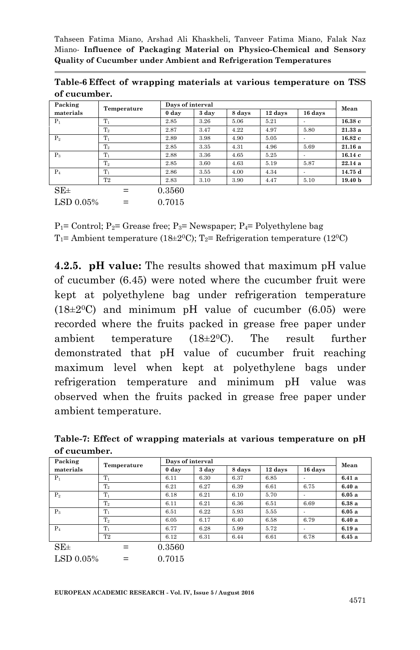| Packing        | Temperature |        | Days of interval |        |         |                          |                    |  |
|----------------|-------------|--------|------------------|--------|---------|--------------------------|--------------------|--|
| materials      |             | 0 day  | 3 day            | 8 days | 12 days | 16 days                  | Mean               |  |
| $P_1$          | $T_1$       | 2.85   | 3.26             | 5.06   | 5.21    |                          | 16.38c             |  |
|                | $T_2$       | 2.87   | 3.47             | 4.22   | 4.97    | 5.80                     | 21.33a             |  |
| P <sub>2</sub> | $T_1$       | 2.89   | 3.98             | 4.90   | 5.05    |                          | 16.82c             |  |
|                | $T_2$       | 2.85   | 3.35             | 4.31   | 4.96    | 5.69                     | 21.16a             |  |
| $P_3$          | $T_1$       | 2.88   | 3.36             | 4.65   | 5.25    |                          | 16.14c             |  |
|                | $T_2$       | 2.85   | 3.60             | 4.63   | 5.19    | 5.87                     | 22.14a             |  |
| $P_4$          | $T_1$       | 2.86   | 3.55             | 4.00   | 4.34    | $\overline{\phantom{a}}$ | 14.75 d            |  |
|                | T2          | 2.83   | 3.10             | 3.90   | 4.47    | 5.10                     | 19.40 <sub>b</sub> |  |
| $SE_{\pm}$     | $=$         | 0.3560 |                  |        |         |                          |                    |  |
| LSD 0.05%      |             | 0.7015 |                  |        |         |                          |                    |  |

**Table-6 Effect of wrapping materials at various temperature on TSS of cucumber.**

 $P_1$ = Control;  $P_2$ = Grease free;  $P_3$ = Newspaper;  $P_4$ = Polyethylene bag  $T_1$ = Ambient temperature (18±2<sup>0</sup>C);  $T_2$ = Refrigeration temperature (12<sup>0</sup>C)

**4.2.5. pH value:** The results showed that maximum pH value of cucumber (6.45) were noted where the cucumber fruit were kept at polyethylene bag under refrigeration temperature  $(18\pm20)$  and minimum pH value of cucumber  $(6.05)$  were recorded where the fruits packed in grease free paper under ambient temperature  $(18\pm2\degree C)$ . The result further demonstrated that pH value of cucumber fruit reaching maximum level when kept at polyethylene bags under refrigeration temperature and minimum pH value was observed when the fruits packed in grease free paper under ambient temperature.

| Packing        |                |                  | Days of interval |        |         |                          |       |  |  |
|----------------|----------------|------------------|------------------|--------|---------|--------------------------|-------|--|--|
| materials      | Temperature    | 0 <sub>day</sub> | 3 day            | 8 days | 12 days | 16 days                  | Mean  |  |  |
| $P_1$          | $T_1$          | 6.11             | 6.30             | 6.37   | 6.85    |                          | 6.41a |  |  |
|                | $\rm T_2$      | 6.21             | 6.27             | 6.39   | 6.61    | 6.75                     | 6.40a |  |  |
| P <sub>2</sub> | $T_1$          | 6.18             | 6.21             | 6.10   | 5.70    | $\blacksquare$           | 6.05a |  |  |
|                | $\rm T_2$      | 6.11             | 6.21             | 6.36   | 6.51    | 6.69                     | 6.38a |  |  |
| $P_3$          | $T_1$          | 6.51             | 6.22             | 5.93   | 5.55    | $\overline{\phantom{a}}$ | 6.05a |  |  |
|                | $\rm T_2$      | 6.05             | 6.17             | 6.40   | 6.58    | 6.79                     | 6.40a |  |  |
| $P_4$          | $T_1$          | 6.77             | 6.28             | 5.99   | 5.72    |                          | 6.19a |  |  |
|                | T <sub>2</sub> | 6.12             | 6.31             | 6.44   | 6.61    | 6.78                     | 6.45a |  |  |
| $SE\pm$        | $=$            | 0.3560           |                  |        |         |                          |       |  |  |

**Table-7: Effect of wrapping materials at various temperature on pH of cucumber.**

 $LSD\ 0.05\% = 0.7015$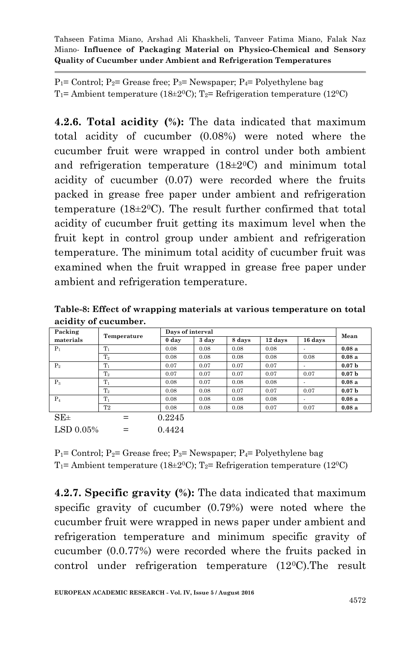$P_1$ = Control;  $P_2$ = Grease free;  $P_3$ = Newspaper;  $P_4$ = Polyethylene bag T<sub>1</sub>= Ambient temperature (18 $\pm$ 2<sup>0</sup>C); T<sub>2</sub>= Refrigeration temperature (12<sup>0</sup>C)

**4.2.6. Total acidity (%):** The data indicated that maximum total acidity of cucumber (0.08%) were noted where the cucumber fruit were wrapped in control under both ambient and refrigeration temperature  $(18\pm2$ <sup>o</sup>C) and minimum total acidity of cucumber (0.07) were recorded where the fruits packed in grease free paper under ambient and refrigeration temperature (18 $\pm$ 2<sup>0</sup>C). The result further confirmed that total acidity of cucumber fruit getting its maximum level when the fruit kept in control group under ambient and refrigeration temperature. The minimum total acidity of cucumber fruit was examined when the fruit wrapped in grease free paper under ambient and refrigeration temperature.

|           | <u>xwyr of miloof of hawpping individually we have compositive on count</u> |                  |       |        |         |         |       |
|-----------|-----------------------------------------------------------------------------|------------------|-------|--------|---------|---------|-------|
|           | acidity of cucumber.                                                        |                  |       |        |         |         |       |
| Packing   | Temperature                                                                 | Days of interval |       |        |         |         | Mean  |
| materials |                                                                             | 0 day            | 3 day | 8 days | 12 days | 16 days |       |
|           | m                                                                           | 0.08             | 0.08  | 0.08   | 0.08    |         | 0.08a |

**Table-8: Effect of wrapping materials at various temperature on total** 

| Packing    | Temperature    |        | Days of interval |        |         |         |                   |  |  |
|------------|----------------|--------|------------------|--------|---------|---------|-------------------|--|--|
| materials  |                | 0 day  | 3 day            | 8 days | 12 days | 16 days | Mean              |  |  |
| $P_1$      | $T_1$          | 0.08   | 0.08             | 0.08   | 0.08    |         | 0.08a             |  |  |
|            | T <sub>2</sub> | 0.08   | 0.08             | 0.08   | 0.08    | 0.08    | 0.08a             |  |  |
| $P_2$      | $T_1$          | 0.07   | 0.07             | 0.07   | 0.07    |         | 0.07 <sub>b</sub> |  |  |
|            | $\rm T_2$      | 0.07   | 0.07             | 0.07   | 0.07    | 0.07    | 0.07 <sub>b</sub> |  |  |
| $P_3$      | $T_1$          | 0.08   | 0.07             | 0.08   | 0.08    |         | 0.08a             |  |  |
|            | $\rm T_2$      | 0.08   | 0.08             | 0.07   | 0.07    | 0.07    | 0.07 <sub>b</sub> |  |  |
| $P_4$      | $T_{1}$        | 0.08   | 0.08             | 0.08   | 0.08    |         | 0.08a             |  |  |
|            | T <sub>2</sub> | 0.08   | 0.08             | 0.08   | 0.07    | 0.07    | 0.08a             |  |  |
| $SE_{\pm}$ |                | 0.2245 |                  |        |         |         |                   |  |  |
| LSD 0.05%  |                | 0.4424 |                  |        |         |         |                   |  |  |

 $P_1$ = Control;  $P_2$ = Grease free;  $P_3$ = Newspaper;  $P_4$ = Polyethylene bag T<sub>1</sub>= Ambient temperature (18 $\pm$ 2<sup>0</sup>C); T<sub>2</sub>= Refrigeration temperature (12<sup>0</sup>C)

**4.2.7. Specific gravity (%):** The data indicated that maximum specific gravity of cucumber (0.79%) were noted where the cucumber fruit were wrapped in news paper under ambient and refrigeration temperature and minimum specific gravity of cucumber (0.0.77%) were recorded where the fruits packed in control under refrigeration temperature (120C).The result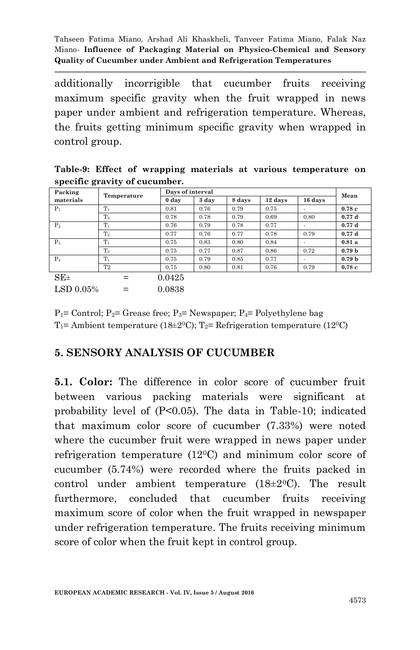additionally incorrigible that cucumber fruits receiving maximum specific gravity when the fruit wrapped in news paper under ambient and refrigeration temperature. Whereas, the fruits getting minimum specific gravity when wrapped in control group.

|  |                               |  | Table-9: Effect of wrapping materials at various temperature on |  |
|--|-------------------------------|--|-----------------------------------------------------------------|--|
|  | specific gravity of cucumber. |  |                                                                 |  |

| Packing   | Temperature    |        | Days of interval |        |         |                          |                   |  |
|-----------|----------------|--------|------------------|--------|---------|--------------------------|-------------------|--|
| materials |                | 0 day  | 3 day            | 8 days | 12 days | 16 days                  | Mean              |  |
| $P_1$     | $T_1$          | 0.81   | 0.76             | 0.79   | 0.75    |                          | 0.78c             |  |
|           | $T_2$          | 0.78   | 0.78             | 0.79   | 0.69    | 0.80                     | 0.77d             |  |
| $P_2$     | $T_1$          | 0.76   | 0.79             | 0.78   | 0.77    | $\overline{\phantom{a}}$ | 0.77d             |  |
|           | $T_{2}$        | 0.77   | 0.76             | 0.77   | 0.78    | 0.79                     | 0.77d             |  |
| $P_3$     | $T_1$          | 0.75   | 0.83             | 0.80   | 0.84    |                          | 0.81a             |  |
|           | $T_2$          | 0.75   | 0.77             | 0.87   | 0.86    | 0.72                     | 0.79 <sub>b</sub> |  |
| $P_4$     | $T_1$          | 0.75   | 0.79             | 0.85   | 0.77    |                          | 0.79 <sub>b</sub> |  |
|           | T <sub>2</sub> | 0.75   | 0.80             | 0.81   | 0.76    | 0.79                     | 0.78c             |  |
| $SE\pm$   | $=$            | 0.0425 |                  |        |         |                          |                   |  |
| LSD 0.05% |                | 0.0838 |                  |        |         |                          |                   |  |

 $P_1$ = Control;  $P_2$ = Grease free;  $P_3$ = Newspaper;  $P_4$ = Polyethylene bag T<sub>1</sub>= Ambient temperature (18 $\pm$ 2<sup>0</sup>C); T<sub>2</sub>= Refrigeration temperature (12<sup>0</sup>C)

### **5. SENSORY ANALYSIS OF CUCUMBER**

**5.1. Color:** The difference in color score of cucumber fruit between various packing materials were significant at probability level of (P<0.05). The data in Table-10; indicated that maximum color score of cucumber (7.33%) were noted where the cucumber fruit were wrapped in news paper under refrigeration temperature (120C) and minimum color score of cucumber (5.74%) were recorded where the fruits packed in control under ambient temperature  $(18\pm20)$ . The result furthermore, concluded that cucumber fruits receiving maximum score of color when the fruit wrapped in newspaper under refrigeration temperature. The fruits receiving minimum score of color when the fruit kept in control group.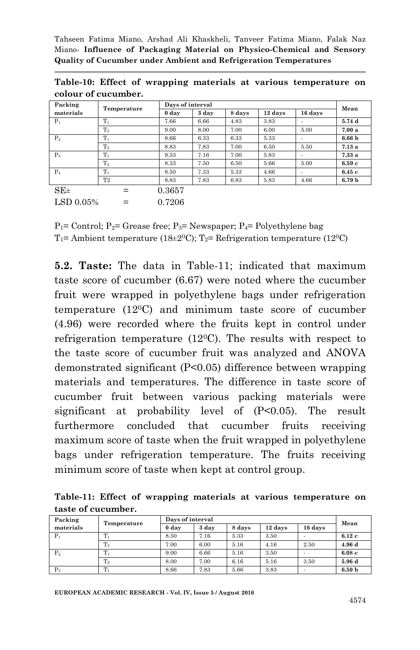| Packing<br>materials | Temperature    |        | Days of interval |        |         |                          |                   |  |
|----------------------|----------------|--------|------------------|--------|---------|--------------------------|-------------------|--|
|                      |                | 0 day  | 3 day            | 8 days | 12 days | 16 days                  | Mean              |  |
| $P_1$                | $T_1$          | 7.66   | 6.66             | 4.83   | 3.83    |                          | 5.74 d            |  |
|                      | T <sub>2</sub> | 9.00   | 8.00             | 7.00   | 6.00    | 5.00                     | 7.00a             |  |
| P <sub>2</sub>       | Tı             | 8.66   | 6.33             | 6.33   | 5.33    | $\overline{\phantom{0}}$ | 6.66 <sub>b</sub> |  |
|                      | T <sub>2</sub> | 8.83   | 7.83             | 7.00   | 6.50    | 5.50                     | 7.13a             |  |
| $P_3$                | $T_1$          | 9.33   | 7.16             | 7.00   | 5.83    | $\overline{\phantom{a}}$ | 7.33a             |  |
|                      | $\rm T_2$      | 8.33   | 7.50             | 6.50   | 5.66    | 5.00                     | 6.59c             |  |
| $P_4$                | $T_1$          | 8.50   | 7.33             | 5.33   | 4.66    |                          | 6.45c             |  |
|                      | T <sub>2</sub> | 8.83   | 7.83             | 6.83   | 5.83    | 4.66                     | 6.79 <sub>b</sub> |  |
| $SE_{\pm}$           | $=$            | 0.3657 |                  |        |         |                          |                   |  |
| LSD 0.05%<br>$=$     |                | 0.7206 |                  |        |         |                          |                   |  |

**Table-10: Effect of wrapping materials at various temperature on colour of cucumber.**

 $P_1$ = Control;  $P_2$ = Grease free;  $P_3$ = Newspaper;  $P_4$ = Polyethylene bag  $T_1$ = Ambient temperature (18±2<sup>0</sup>C);  $T_2$ = Refrigeration temperature (12<sup>0</sup>C)

**5.2. Taste:** The data in Table-11; indicated that maximum taste score of cucumber (6.67) were noted where the cucumber fruit were wrapped in polyethylene bags under refrigeration temperature (120C) and minimum taste score of cucumber (4.96) were recorded where the fruits kept in control under refrigeration temperature  $(12^{\circ}C)$ . The results with respect to the taste score of cucumber fruit was analyzed and ANOVA demonstrated significant (P<0.05) difference between wrapping materials and temperatures. The difference in taste score of cucumber fruit between various packing materials were significant at probability level of (P<0.05). The result furthermore concluded that cucumber fruits receiving maximum score of taste when the fruit wrapped in polyethylene bags under refrigeration temperature. The fruits receiving minimum score of taste when kept at control group.

**Table-11: Effect of wrapping materials at various temperature on taste of cucumber.**

| Packing        | Temperature | Days of interval | Mean  |        |         |         |                   |
|----------------|-------------|------------------|-------|--------|---------|---------|-------------------|
| materials      |             | 0 day            | 3 day | 8 days | 12 days | 16 days |                   |
| $P_1$          |             | 8.50             | 7.16  | 5.33   | 3.50    |         | 6.12c             |
|                | $T_2$       | 7.00             | 6.00  | 5.16   | 4.16    | 2.50    | 4.96 d            |
| P <sub>2</sub> |             | 9.00             | 6.66  | 5.16   | 3.50    |         | 6.08c             |
|                | $T_2$       | 8.00             | 7.00  | 6.16   | 5.16    | 3.50    | 5.96 d            |
| $P_3$          |             | 8.66             | 7.83  | 5.66   | 3.83    |         | 6.50 <sub>b</sub> |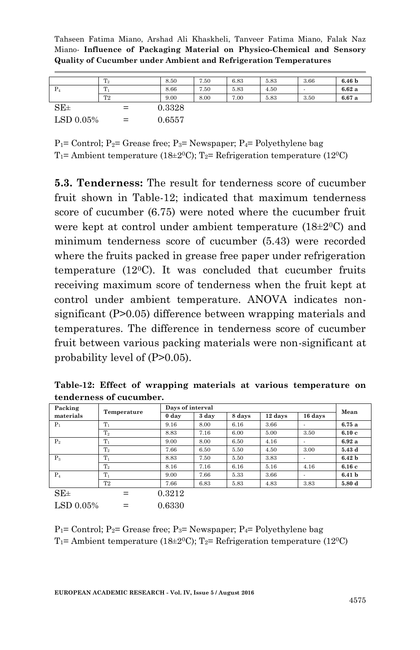|           | $\mathrm{T}_2$ | 8.50   | 7.50 | 6.83 | 5.83 | 3.66 | 6.46 <sub>b</sub> |
|-----------|----------------|--------|------|------|------|------|-------------------|
| $P_4$     | m              | 8.66   | 7.50 | 5.83 | 4.50 |      | 6.62a             |
|           | T <sub>2</sub> | 9.00   | 8.00 | 7.00 | 5.83 | 3.50 | 6.67a             |
| $SE\pm$   | $=$            | 0.3328 |      |      |      |      |                   |
| LSD 0.05% | $=$            | 0.6557 |      |      |      |      |                   |

 $P_1$ = Control;  $P_2$ = Grease free;  $P_3$ = Newspaper;  $P_4$ = Polyethylene bag T<sub>1</sub>= Ambient temperature (18 $\pm$ 2<sup>0</sup>C); T<sub>2</sub>= Refrigeration temperature (12<sup>0</sup>C)

**5.3. Tenderness:** The result for tenderness score of cucumber fruit shown in Table-12; indicated that maximum tenderness score of cucumber (6.75) were noted where the cucumber fruit were kept at control under ambient temperature (18±20C) and minimum tenderness score of cucumber (5.43) were recorded where the fruits packed in grease free paper under refrigeration temperature  $(12^{\circ}C)$ . It was concluded that cucumber fruits receiving maximum score of tenderness when the fruit kept at control under ambient temperature. ANOVA indicates nonsignificant (P>0.05) difference between wrapping materials and temperatures. The difference in tenderness score of cucumber fruit between various packing materials were non-significant at probability level of (P>0.05).

**Table-12: Effect of wrapping materials at various temperature on tenderness of cucumber.**

| Packing<br>materials         | Temperature |        | Days of interval |        |         |                          |                   |  |
|------------------------------|-------------|--------|------------------|--------|---------|--------------------------|-------------------|--|
|                              |             | 0 day  | 3 day            | 8 days | 12 days | 16 days                  | Mean              |  |
| $P_1$                        | $T_1$       | 9.16   | 8.00             | 6.16   | 3.66    |                          | 6.75a             |  |
|                              | $T_2$       | 8.83   | 7.16             | 6.00   | 5.00    | 3.50                     | 6.10c             |  |
| $P_2$                        | $T_1$       | 9.00   | 8.00             | 6.50   | 4.16    |                          | 6.92a             |  |
|                              | $T_2$       | 7.66   | 6.50             | 5.50   | 4.50    | 3.00                     | 5.43 d            |  |
| $P_3$                        | $T_1$       | 8.83   | 7.50             | 5.50   | 3.83    | $\overline{\phantom{a}}$ | 6.42 <sub>b</sub> |  |
|                              | $\rm T_2$   | 8.16   | 7.16             | 6.16   | 5.16    | 4.16                     | 6.16c             |  |
| $P_4$                        | $T_{1}$     | 9.00   | 7.66             | 5.33   | 3.66    | $\overline{\phantom{a}}$ | 6.41 <sub>b</sub> |  |
|                              | T2          | 7.66   | 6.83             | 5.83   | 4.83    | 3.83                     | 5.80 d            |  |
| $SE\pm$                      | $=$         | 0.3212 |                  |        |         |                          |                   |  |
| $\mathrm{LSD}~0.05\%$<br>$=$ |             | 0.6330 |                  |        |         |                          |                   |  |

 $P_1$ = Control;  $P_2$ = Grease free;  $P_3$ = Newspaper;  $P_4$ = Polyethylene bag  $T_1$ = Ambient temperature (18±2<sup>o</sup>C);  $T_2$ = Refrigeration temperature (12<sup>o</sup>C)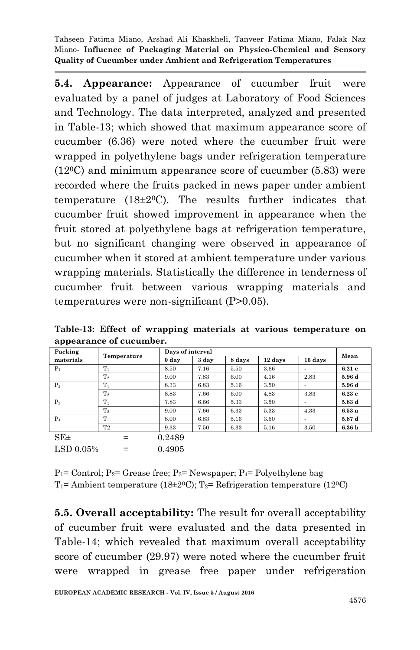**5.4. Appearance:** Appearance of cucumber fruit were evaluated by a panel of judges at Laboratory of Food Sciences and Technology. The data interpreted, analyzed and presented in Table-13; which showed that maximum appearance score of cucumber (6.36) were noted where the cucumber fruit were wrapped in polyethylene bags under refrigeration temperature  $(12<sup>0</sup>C)$  and minimum appearance score of cucumber (5.83) were recorded where the fruits packed in news paper under ambient temperature  $(18\pm20)$ . The results further indicates that cucumber fruit showed improvement in appearance when the fruit stored at polyethylene bags at refrigeration temperature, but no significant changing were observed in appearance of cucumber when it stored at ambient temperature under various wrapping materials. Statistically the difference in tenderness of cucumber fruit between various wrapping materials and temperatures were non-significant (P>0.05).

**Table-13: Effect of wrapping materials at various temperature on appearance of cucumber.**

| Packing<br>materials | Temperature |        | Days of interval |        |         |                          |                   |  |
|----------------------|-------------|--------|------------------|--------|---------|--------------------------|-------------------|--|
|                      |             | 0 day  | 3 day            | 8 days | 12 days | 16 days                  | Mean              |  |
| $P_1$                | $T_1$       | 8.50   | 7.16             | 5.50   | 3.66    |                          | 6.21c             |  |
|                      | $T_2$       | 9.00   | 7.83             | 6.00   | 4.16    | 2.83                     | 5.96 d            |  |
| P <sub>2</sub>       | $T_1$       | 8.33   | 6.83             | 5.16   | 3.50    | $\overline{\phantom{a}}$ | 5.96 d            |  |
|                      | $T_2$       | 8.83   | 7.66             | 6.00   | 4.83    | 3.83                     | 6.23c             |  |
| $P_3$                | $T_1$       | 7.83   | 6.66             | 5.33   | 3.50    | $\overline{\phantom{a}}$ | 5.83 d            |  |
|                      | $T_2$       | 9.00   | 7.66             | 6.33   | 5.33    | 4.33                     | 6.53a             |  |
| $P_4$                | $T_1$       | 8.00   | 6.83             | 5.16   | 3.50    |                          | 5.87 d            |  |
|                      | T2          | 9.33   | 7.50             | 6.33   | 5.16    | 3.50                     | 6.36 <sub>b</sub> |  |
| $SE\pm$              | $=$         | 0.2489 |                  |        |         |                          |                   |  |
| LSD 0.05%            |             | 0.4905 |                  |        |         |                          |                   |  |

 $P_1$ = Control;  $P_2$ = Grease free;  $P_3$ = Newspaper;  $P_4$ = Polyethylene bag T<sub>1</sub>= Ambient temperature (18 $\pm$ 2<sup>0</sup>C); T<sub>2</sub>= Refrigeration temperature (12<sup>0</sup>C)

**5.5. Overall acceptability:** The result for overall acceptability of cucumber fruit were evaluated and the data presented in Table-14; which revealed that maximum overall acceptability score of cucumber (29.97) were noted where the cucumber fruit were wrapped in grease free paper under refrigeration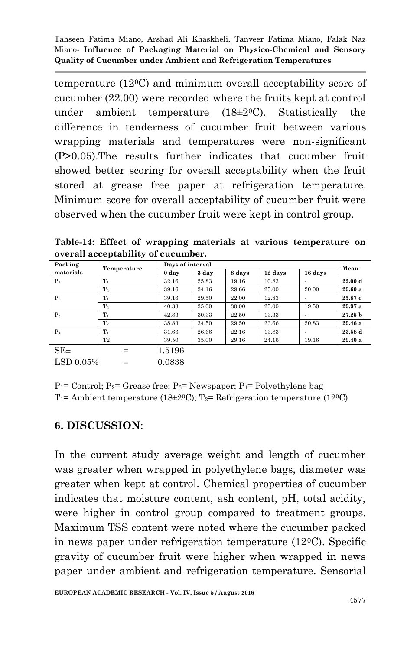temperature (120C) and minimum overall acceptability score of cucumber (22.00) were recorded where the fruits kept at control under ambient temperature  $(18\pm20)$ . Statistically the difference in tenderness of cucumber fruit between various wrapping materials and temperatures were non-significant (P>0.05).The results further indicates that cucumber fruit showed better scoring for overall acceptability when the fruit stored at grease free paper at refrigeration temperature. Minimum score for overall acceptability of cucumber fruit were observed when the cucumber fruit were kept in control group.

**Table-14: Effect of wrapping materials at various temperature on overall acceptability of cucumber.**

| Packing        | Temperature    | Days of interval | Mean  |        |         |         |                    |
|----------------|----------------|------------------|-------|--------|---------|---------|--------------------|
| materials      |                | 0 day            | 3 day | 8 days | 12 days | 16 days |                    |
| $P_1$          | $T_1$          | 32.16            | 25.83 | 19.16  | 10.83   |         | 22.00 d            |
|                | $\mathrm{T}_2$ | 39.16            | 34.16 | 29.66  | 25.00   | 20.00   | 29.60 a            |
| P <sub>2</sub> | $T_1$          | 39.16            | 29.50 | 22.00  | 12.83   |         | 25.87c             |
|                | $\rm T_2$      | 40.33            | 35.00 | 30.00  | 25.00   | 19.50   | 29.97 a            |
| $P_3$          | $T_1$          | 42.83            | 30.33 | 22.50  | 13.33   |         | 27.25 <sub>b</sub> |
|                | $\mathrm{T}_2$ | 38.83            | 34.50 | 29.50  | 23.66   | 20.83   | 29.46 a            |
| $P_4$          | $T_1$          | 31.66            | 26.66 | 22.16  | 13.83   |         | 23.58 d            |
|                | T <sub>2</sub> | 39.50            | 35.00 | 29.16  | 24.16   | 19.16   | 29.40a             |
| $SE_{\pm}$     |                | 1.5196           |       |        |         |         |                    |

 $P_1$ = Control;  $P_2$ = Grease free;  $P_3$ = Newspaper;  $P_4$ = Polyethylene bag T<sub>1</sub>= Ambient temperature (18 $\pm$ 2<sup>0</sup>C); T<sub>2</sub>= Refrigeration temperature (12<sup>0</sup>C)

### **6. DISCUSSION**:

 $LSD 0.05\% = 0.0838$ 

In the current study average weight and length of cucumber was greater when wrapped in polyethylene bags, diameter was greater when kept at control. Chemical properties of cucumber indicates that moisture content, ash content, pH, total acidity, were higher in control group compared to treatment groups. Maximum TSS content were noted where the cucumber packed in news paper under refrigeration temperature  $(12^{\circ}C)$ . Specific gravity of cucumber fruit were higher when wrapped in news paper under ambient and refrigeration temperature. Sensorial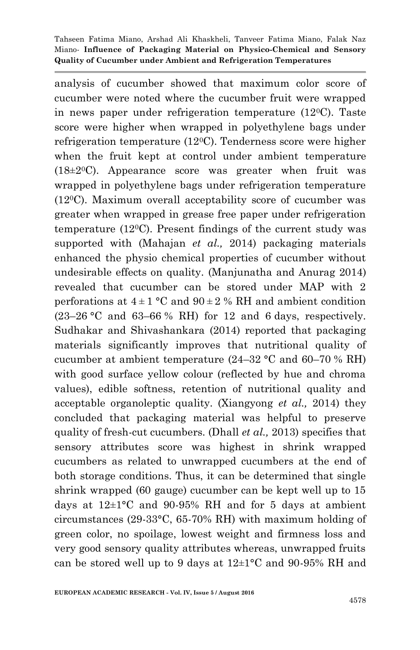analysis of cucumber showed that maximum color score of cucumber were noted where the cucumber fruit were wrapped in news paper under refrigeration temperature (120C). Taste score were higher when wrapped in polyethylene bags under refrigeration temperature (120C). Tenderness score were higher when the fruit kept at control under ambient temperature  $(18\pm20)$ . Appearance score was greater when fruit was wrapped in polyethylene bags under refrigeration temperature  $(12^{\circ}C)$ . Maximum overall acceptability score of cucumber was greater when wrapped in grease free paper under refrigeration temperature (120C). Present findings of the current study was supported with (Mahajan *et al.,* 2014) packaging materials enhanced the physio chemical properties of cucumber without undesirable effects on quality. (Manjunatha and Anurag 2014) revealed that cucumber can be stored under MAP with 2 perforations at  $4 \pm 1$  °C and  $90 \pm 2$  % RH and ambient condition  $(23-26 \degree C \text{ and } 63-66 \% \text{ RH})$  for 12 and 6 days, respectively. Sudhakar and Shivashankara (2014) reported that packaging materials significantly improves that nutritional quality of cucumber at ambient temperature (24–32 °C and 60–70 % RH) with good surface yellow colour (reflected by hue and chroma values), edible softness, retention of nutritional quality and acceptable organoleptic quality. (Xiangyong *et al.,* 2014) they concluded that packaging material was helpful to preserve quality of fresh-cut cucumbers. (Dhall *et al.,* 2013) specifies that sensory attributes score was highest in shrink wrapped cucumbers as related to unwrapped cucumbers at the end of both storage conditions. Thus, it can be determined that single shrink wrapped (60 gauge) cucumber can be kept well up to 15 days at  $12\pm1$ °C and 90-95% RH and for 5 days at ambient circumstances (29-33°C, 65-70% RH) with maximum holding of green color, no spoilage, lowest weight and firmness loss and very good sensory quality attributes whereas, unwrapped fruits can be stored well up to 9 days at 12±1°C and 90-95% RH and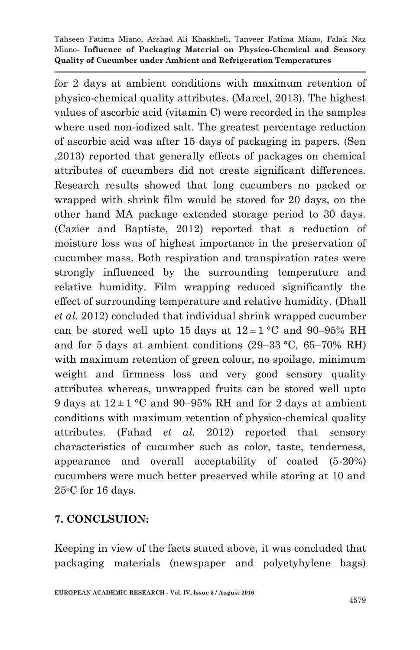for 2 days at ambient conditions with maximum retention of physico-chemical quality attributes. (Marcel, 2013). The highest values of ascorbic acid (vitamin C) were recorded in the samples where used non-iodized salt. The greatest percentage reduction of ascorbic acid was after 15 days of packaging in papers. (Sen ,2013) reported that generally effects of packages on chemical attributes of cucumbers did not create significant differences. Research results showed that long cucumbers no packed or wrapped with shrink film would be stored for 20 days, on the other hand MA package extended storage period to 30 days. (Cazier and Baptiste, 2012) reported that a reduction of moisture loss was of highest importance in the preservation of cucumber mass. Both respiration and transpiration rates were strongly influenced by the surrounding temperature and relative humidity. Film wrapping reduced significantly the effect of surrounding temperature and relative humidity. (Dhall *et al.* 2012) concluded that individual shrink wrapped cucumber can be stored well upto 15 days at  $12 \pm 1$  °C and 90–95% RH and for 5 days at ambient conditions (29–33 °C, 65–70% RH) with maximum retention of green colour, no spoilage, minimum weight and firmness loss and very good sensory quality attributes whereas, unwrapped fruits can be stored well upto 9 days at  $12 \pm 1$  °C and 90–95% RH and for 2 days at ambient conditions with maximum retention of physico-chemical quality attributes. (Fahad *et al.* 2012) reported that sensory characteristics of cucumber such as color, taste, tenderness, appearance and overall acceptability of coated (5-20%) cucumbers were much better preserved while storing at 10 and 25oC for 16 days.

# **7. CONCLSUION:**

Keeping in view of the facts stated above, it was concluded that packaging materials (newspaper and polyetyhylene bags)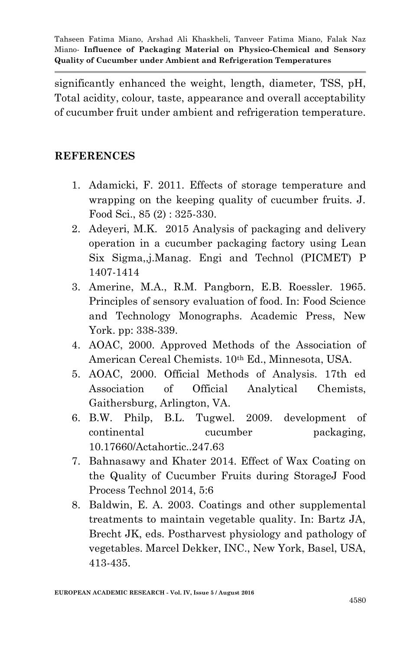significantly enhanced the weight, length, diameter, TSS, pH, Total acidity, colour, taste, appearance and overall acceptability of cucumber fruit under ambient and refrigeration temperature.

### **REFERENCES**

- 1. Adamicki, F. 2011. Effects of storage temperature and wrapping on the keeping quality of cucumber fruits. J. Food Sci., 85 (2) : 325-330.
- 2. Adeyeri, M.K. 2015 Analysis of packaging and delivery operation in a cucumber packaging factory using Lean Six Sigma,,j.Manag. Engi and Technol (PICMET) P 1407-1414
- 3. Amerine, M.A., R.M. Pangborn, E.B. Roessler. 1965. Principles of sensory evaluation of food. In: Food Science and Technology Monographs. Academic Press, New York. pp: 338-339.
- 4. AOAC, 2000. Approved Methods of the Association of American Cereal Chemists. 10th Ed., Minnesota, USA.
- 5. AOAC, 2000. Official Methods of Analysis. 17th ed Association of Official Analytical Chemists, Gaithersburg, Arlington, VA.
- 6. B.W. Philp, B.L. Tugwel. 2009. development of continental cucumber packaging, 10.17660/Actahortic..247.63
- 7. Bahnasawy and Khater 2014. Effect of Wax Coating on the Quality of Cucumber Fruits during StorageJ Food Process Technol 2014, 5:6
- 8. Baldwin, E. A. 2003. Coatings and other supplemental treatments to maintain vegetable quality. In: Bartz JA, Brecht JK, eds. Postharvest physiology and pathology of vegetables. Marcel Dekker, INC., New York, Basel, USA, 413-435.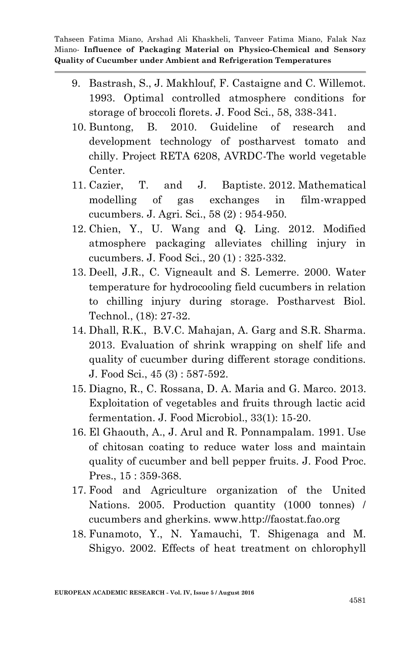- 9. Bastrash, S., J. Makhlouf, F. Castaigne and C. Willemot. 1993. Optimal controlled atmosphere conditions for storage of broccoli florets. J. Food Sci., 58, 338-341.
- 10. Buntong, B. 2010. Guideline of research and development technology of postharvest tomato and chilly. Project RETA 6208, AVRDC-The world vegetable Center.
- 11. Cazier, T. and J. Baptiste. 2012. Mathematical modelling of gas exchanges in film-wrapped cucumbers. J. Agri. Sci., 58 (2) : 954-950.
- 12. Chien, Y., U. Wang and Q. Ling. 2012. Modified atmosphere packaging alleviates chilling injury in cucumbers. J. Food Sci., 20 (1) : 325-332.
- 13. Deell, J.R., C. Vigneault and S. Lemerre. 2000. Water temperature for hydrocooling field cucumbers in relation to chilling injury during storage. Postharvest Biol. Technol., (18): 27-32.
- 14. Dhall, R.K., B.V.C. Mahajan, A. Garg and S.R. Sharma. 2013. Evaluation of shrink wrapping on shelf life and quality of cucumber during different storage conditions. J. Food Sci., 45 (3) : 587-592.
- 15. Diagno, R., C. Rossana, D. A. Maria and G. Marco. 2013. Exploitation of vegetables and fruits through lactic acid fermentation. J. Food Microbiol., 33(1): 15-20.
- 16. El Ghaouth, A., J. Arul and R. Ponnampalam. 1991. Use of chitosan coating to reduce water loss and maintain quality of cucumber and bell pepper fruits. J. Food Proc. Pres., 15 : 359-368.
- 17. Food and Agriculture organization of the United Nations. 2005. Production quantity (1000 tonnes) / cucumbers and gherkins. www.http://faostat.fao.org
- 18. Funamoto, Y., N. Yamauchi, T. Shigenaga and M. Shigyo. 2002. Effects of heat treatment on chlorophyll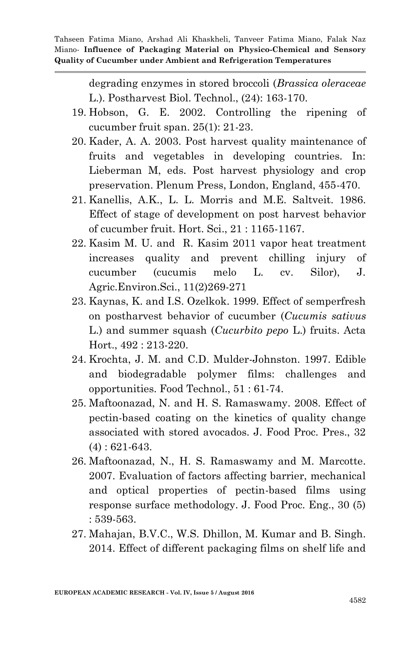> degrading enzymes in stored broccoli (*Brassica oleraceae* L.). Postharvest Biol. Technol., (24): 163-170.

- 19. Hobson, G. E. 2002. Controlling the ripening of cucumber fruit span. 25(1): 21-23.
- 20. Kader, A. A. 2003. Post harvest quality maintenance of fruits and vegetables in developing countries. In: Lieberman M, eds. Post harvest physiology and crop preservation. Plenum Press, London, England, 455-470.
- 21. Kanellis, A.K., L. L. Morris and M.E. Saltveit. 1986. Effect of stage of development on post harvest behavior of cucumber fruit. Hort. Sci., 21 : 1165-1167.
- 22. Kasim M. U. and R. Kasim 2011 vapor heat treatment increases quality and prevent chilling injury of cucumber (cucumis melo L. cv. Silor), J. Agric.Environ.Sci., 11(2)269-271
- 23. Kaynas, K. and I.S. Ozelkok. 1999. Effect of semperfresh on postharvest behavior of cucumber (*Cucumis sativus* L.) and summer squash (*Cucurbito pepo* L.) fruits. Acta Hort., 492 : 213-220.
- 24. Krochta, J. M. and C.D. Mulder-Johnston. 1997. Edible and biodegradable polymer films: challenges and opportunities. Food Technol., 51 : 61-74.
- 25. Maftoonazad, N. and H. S. Ramaswamy. 2008. Effect of pectin-based coating on the kinetics of quality change associated with stored avocados. J. Food Proc. Pres., 32 (4) : 621-643.
- 26. Maftoonazad, N., H. S. Ramaswamy and M. Marcotte. 2007. Evaluation of factors affecting barrier, mechanical and optical properties of pectin-based films using response surface methodology. J. Food Proc. Eng., 30 (5) : 539-563.
- 27. Mahajan, B.V.C., W.S. Dhillon, M. Kumar and B. Singh. 2014. Effect of different packaging films on shelf life and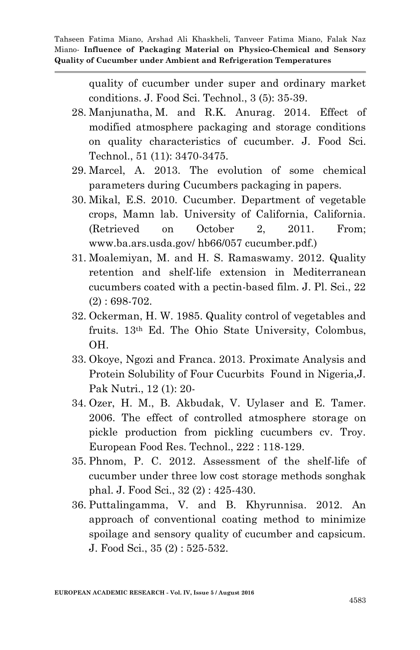> quality of cucumber under super and ordinary market conditions. J. Food Sci. Technol., 3 (5): 35-39.

- 28. Manjunatha, M. and R.K. Anurag. 2014. Effect of modified atmosphere packaging and storage conditions on quality characteristics of cucumber. J. Food Sci. Technol., 51 (11): 3470-3475.
- 29. Marcel, A. 2013. The evolution of some chemical parameters during Cucumbers packaging in papers.
- 30. Mikal, E.S. 2010. Cucumber. Department of vegetable crops, Mamn lab. University of California, California. (Retrieved on October 2, 2011. From; www.ba.ars.usda.gov/ hb66/057 cucumber.pdf.)
- 31. Moalemiyan, M. and H. S. Ramaswamy. 2012. Quality retention and shelf-life extension in Mediterranean cucumbers coated with a pectin-based film. J. Pl. Sci., 22 (2) : 698-702.
- 32. Ockerman, H. W. 1985. Quality control of vegetables and fruits. 13th Ed. The Ohio State University, Colombus, OH.
- 33. Okoye, Ngozi and Franca. 2013. Proximate Analysis and Protein Solubility of Four Cucurbits Found in Nigeria,J. Pak Nutri., 12 (1): 20-
- 34. Ozer, H. M., B. Akbudak, V. Uylaser and E. Tamer. 2006. The effect of controlled atmosphere storage on pickle production from pickling cucumbers cv. Troy. European Food Res. Technol., 222 : 118-129.
- 35. Phnom, P. C. 2012. Assessment of the shelf-life of cucumber under three low cost storage methods songhak phal. J. Food Sci., 32 (2) : 425-430.
- 36. Puttalingamma, V. and B. Khyrunnisa. 2012. An approach of conventional coating method to minimize spoilage and sensory quality of cucumber and capsicum. J. Food Sci., 35 (2) : 525-532.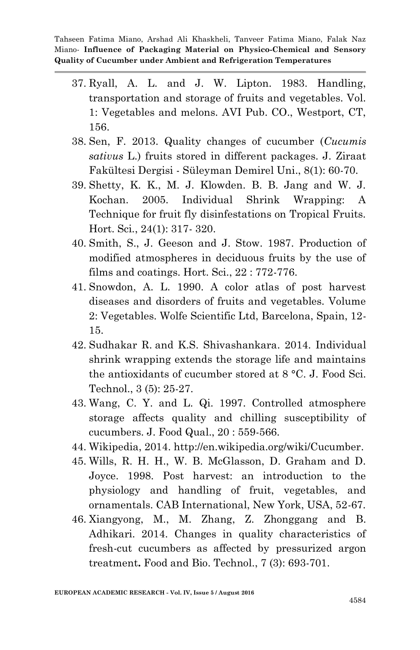- 37. Ryall, A. L. and J. W. Lipton. 1983. Handling, transportation and storage of fruits and vegetables. Vol. 1: Vegetables and melons. AVI Pub. CO., Westport, CT, 156.
- 38. Sen, F. 2013. Quality changes of cucumber (*Cucumis sativus* L.) fruits stored in different packages. J. Ziraat Fakültesi Dergisi - Süleyman Demirel Uni., 8(1): 60-70.
- 39. Shetty, K. K., M. J. Klowden. B. B. Jang and W. J. Kochan. 2005. Individual Shrink Wrapping: A Technique for fruit fly disinfestations on Tropical Fruits. Hort. Sci., 24(1): 317- 320.
- 40. Smith, S., J. Geeson and J. Stow. 1987. Production of modified atmospheres in deciduous fruits by the use of films and coatings. Hort. Sci., 22 : 772-776.
- 41. Snowdon, A. L. 1990. A color atlas of post harvest diseases and disorders of fruits and vegetables. Volume 2: Vegetables. Wolfe Scientific Ltd, Barcelona, Spain, 12- 15.
- 42. Sudhakar R. and K.S. Shivashankara. 2014. Individual shrink wrapping extends the storage life and maintains the antioxidants of cucumber stored at 8 °C. J. Food Sci. Technol., 3 (5): 25-27.
- 43. Wang, C. Y. and L. Qi. 1997. Controlled atmosphere storage affects quality and chilling susceptibility of cucumbers. J. Food Qual., 20 : 559-566.
- 44. Wikipedia, 2014. http://en.wikipedia.org/wiki/Cucumber.
- 45. Wills, R. H. H., W. B. McGlasson, D. Graham and D. Joyce. 1998. Post harvest: an introduction to the physiology and handling of fruit, vegetables, and ornamentals. CAB International, New York, USA, 52-67.
- 46. Xiangyong, M., M. Zhang, Z. [Zhonggang](http://link.springer.com/search?facet-author=%22Zhonggang+Zhan%22) and [B.](http://link.springer.com/search?facet-author=%22Benu+Adhikari%22)  [Adhikari.](http://link.springer.com/search?facet-author=%22Benu+Adhikari%22) 2014. Changes in quality characteristics of fresh-cut cucumbers as affected by pressurized argon treatment**.** [Food and Bio. Technol.,](http://link.springer.com/journal/11947) 7 (3): 693-701.